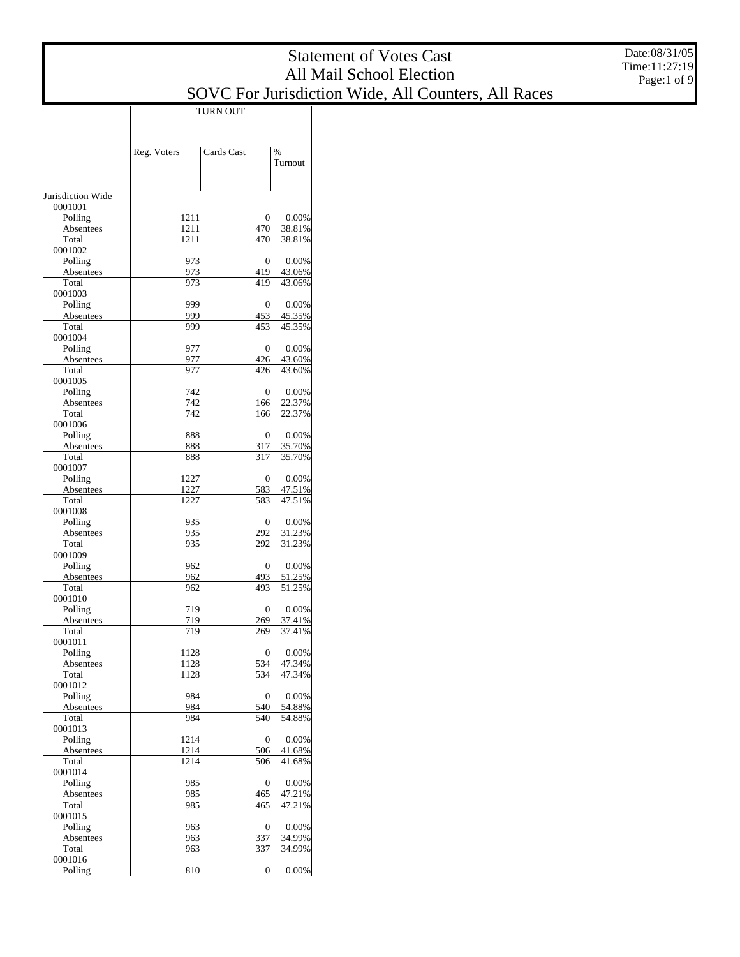# SOVC For Jurisdiction Wide, All Counters, All Races

|                      |              | TURN OUT   |                          |
|----------------------|--------------|------------|--------------------------|
|                      | Reg. Voters  | Cards Cast | $\frac{0}{0}$<br>Turnout |
| Jurisdiction Wide    |              |            |                          |
| 0001001              |              |            |                          |
| Polling<br>Absentees | 1211<br>1211 | 0<br>470   | 0.00%<br>38.81%          |
| Total                | 1211         | 470        | 38.81%                   |
| 0001002              |              |            |                          |
| Polling              | 973          | 0          | 0.00%                    |
| Absentees<br>Total   | 973<br>973   | 419<br>419 | 43.06%<br>43.06%         |
| 0001003              |              |            |                          |
| Polling              | 999          | 0          | 0.00%                    |
| Absentees            | 999          | 453        | 45.35%                   |
| Total                | 999          | 453        | 45.35%                   |
| 0001004<br>Polling   | 977          | 0          | 0.00%                    |
| Absentees            | 977          | 426        | 43.60%                   |
| Total                | 977          | 426        | 43.60%                   |
| 0001005              |              |            |                          |
| Polling              | 742          | 0          | 0.00%                    |
| Absentees<br>Total   | 742<br>742   | 166<br>166 | 22.37%<br>22.37%         |
| 0001006              |              |            |                          |
| Polling              | 888          | 0          | 0.00%                    |
| Absentees            | 888          | 317        | 35.70%                   |
| Total                | 888          | 317        | 35.70%                   |
| 0001007              | 1227         |            |                          |
| Polling<br>Absentees | 1227         | 0<br>583   | 0.00%<br>47.51%          |
| Total                | 1227         | 583        | 47.51%                   |
| 0001008              |              |            |                          |
| Polling              | 935          | 0          | 0.00%                    |
| Absentees<br>Total   | 935          | 292<br>292 | 31.23%<br>31.23%         |
| 0001009              | 935          |            |                          |
| Polling              | 962          | 0          | 0.00%                    |
| Absentees            | 962          | 493        | 51.25%                   |
| Total                | 962          | 493        | 51.25%                   |
| 0001010              | 719          |            | 0.00%                    |
| Polling<br>Absentees | 719          | 0<br>269   | 37.41%                   |
| Total                | 719          | 269        | 37.41%                   |
| 0001011              |              |            |                          |
| Polling              | 1128         | 0          | $0.00\%$                 |
| Absentees<br>Total   | 1128         | 534<br>534 | 47.34%<br>47.34%         |
| 0001012              | 1128         |            |                          |
| Polling              | 984          | 0          | 0.00%                    |
| Absentees            | 984          | 540        | 54.88%                   |
| Total                | 984          | 540        | 54.88%                   |
| 0001013              |              |            |                          |
| Polling<br>Absentees | 1214<br>1214 | 0<br>506   | 0.00%<br>41.68%          |
| Total                | 1214         | 506        | 41.68%                   |
| 0001014              |              |            |                          |
| Polling              | 985          | 0          | 0.00%                    |
| Absentees<br>Total   | 985<br>985   | 465<br>465 | 47.21%<br>47.21%         |
| 0001015              |              |            |                          |
| Polling              | 963          | 0          | 0.00%                    |
| Absentees            | 963          | 337        | 34.99%                   |
| Total                | 963          | 337        | 34.99%                   |
| 0001016<br>Polling   | 810          | 0          | 0.00%                    |
|                      |              |            |                          |

T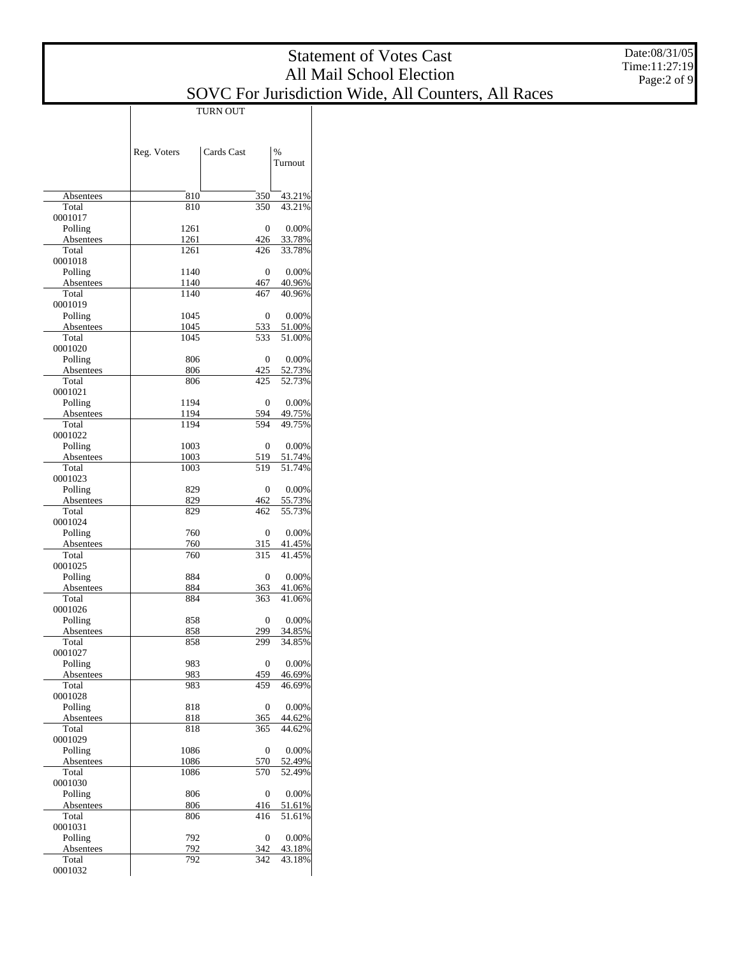#### SOVC For Jurisdiction Wide, All Counters, All Races

|                      |              | TURN OUT   |                  |
|----------------------|--------------|------------|------------------|
|                      |              |            |                  |
|                      |              |            |                  |
|                      | Reg. Voters  | Cards Cast | $\%$             |
|                      |              |            | Turnout          |
|                      |              |            |                  |
| Absentees            | 810          | 350        | 43.21%           |
| Total                | 810          | 350        | 43.21%           |
| 0001017              |              |            |                  |
| Polling              | 1261         | 0          | 0.00%            |
| Absentees<br>Total   | 1261<br>1261 | 426        | 33.78%<br>33.78% |
| 0001018              |              | 426        |                  |
| Polling              | 1140         | 0          | 0.00%            |
| Absentees            | 1140         | 467        | 40.96%           |
| Total                | 1140         | 467        | 40.96%           |
| 0001019              |              |            |                  |
| Polling<br>Absentees | 1045<br>1045 | 0<br>533   | 0.00%<br>51.00%  |
| Total                | 1045         | 533        | 51.00%           |
| 0001020              |              |            |                  |
| Polling              | 806          | 0          | 0.00%            |
| Absentees            | 806          | 425        | 52.73%           |
| Total                | 806          | 425        | 52.73%           |
| 0001021              | 1194         | 0          | 0.00%            |
| Polling<br>Absentees | 1194         | 594        | 49.75%           |
| Total                | 1194         | 594        | 49.75%           |
| 0001022              |              |            |                  |
| Polling              | 1003         | 0          | 0.00%            |
| Absentees            | 1003         | 519        | 51.74%           |
| Total                | 1003         | 519        | 51.74%           |
| 0001023<br>Polling   | 829          | 0          | 0.00%            |
| Absentees            | 829          | 462        | 55.73%           |
| Total                | 829          | 462        | 55.73%           |
| 0001024              |              |            |                  |
| Polling              | 760          | 0          | 0.00%            |
| Absentees            | 760          | 315        | 41.45%           |
| Total<br>0001025     | 760          | 315        | 41.45%           |
| Polling              | 884          | 0          | 0.00%            |
| Absentees            | 884          | 363        | 41.06%           |
| Total                | 884          | 363        | 41.06%           |
| 0001026              |              |            |                  |
| Polling              | 858          | 0          | 0.00%            |
| Absentees            | 858<br>858   | 299<br>299 | 34.85%<br>34.85% |
| Total<br>0001027     |              |            |                  |
| Polling              | 983          | 0          | 0.00%            |
| Absentees            | 983          | 459        | 46.69%           |
| Total                | 983          | 459        | 46.69%           |
| 0001028              |              |            |                  |
| Polling              | 818          | 0<br>365   | 0.00%            |
| Absentees<br>Total   | 818<br>818   | 365        | 44.62%<br>44.62% |
| 0001029              |              |            |                  |
| Polling              | 1086         | 0          | 0.00%            |
| Absentees            | 1086         | 570        | 52.49%           |
| Total                | 1086         | 570        | 52.49%           |
| 0001030              | 806          |            |                  |
| Polling<br>Absentees | 806          | 0<br>416   | 0.00%<br>51.61%  |
| Total                | 806          | 416        | 51.61%           |
| 0001031              |              |            |                  |
| Polling              | 792          | 0          | 0.00%            |
| Absentees            | 792          | 342        | 43.18%           |
| Total                | 792          | 342        | 43.18%           |
| 0001032              |              |            |                  |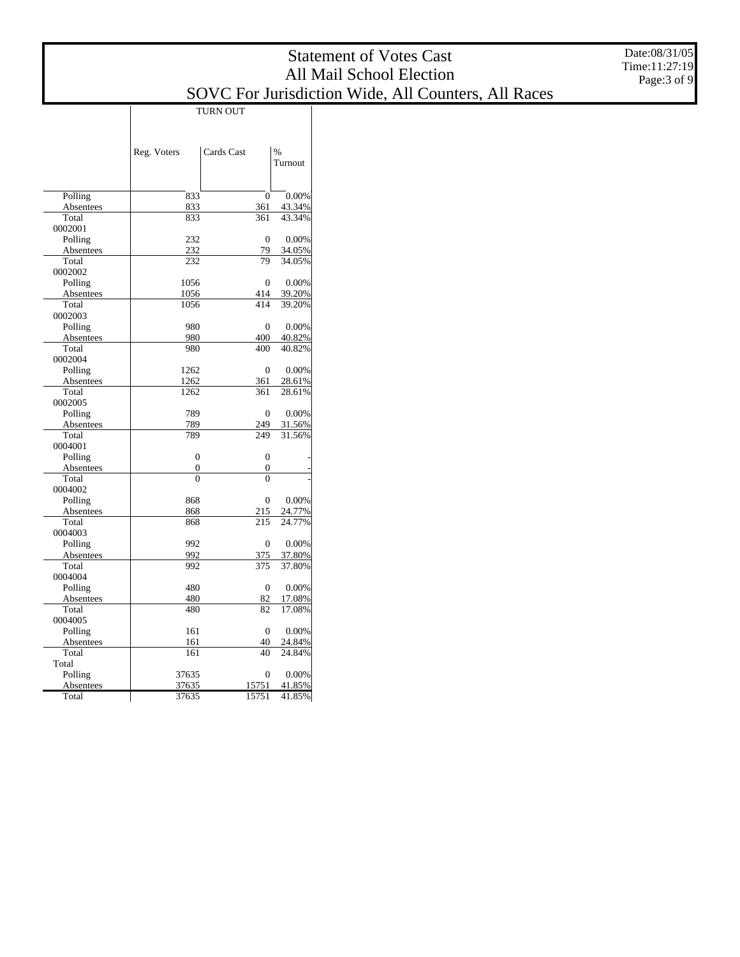#### SOVC For Jurisdiction Wide, All Counters, All Races

|                      | TURN OUT       |                |                          |  |  |  |  |
|----------------------|----------------|----------------|--------------------------|--|--|--|--|
|                      | Reg. Voters    | Cards Cast     | $\frac{0}{0}$<br>Turnout |  |  |  |  |
| Polling              | 833            | $\overline{0}$ | 0.00%                    |  |  |  |  |
| Absentees            | 833            | 361            | 43.34%                   |  |  |  |  |
| Total                | 833            | 361            | 43.34%                   |  |  |  |  |
| 0002001              |                |                |                          |  |  |  |  |
| Polling              | 232            | 0              | 0.00%                    |  |  |  |  |
| Absentees            | 232            | 79             | 34.05%                   |  |  |  |  |
| Total                | 232            | 79             | 34.05%                   |  |  |  |  |
| 0002002              |                |                |                          |  |  |  |  |
| Polling              | 1056           | 0              | 0.00%                    |  |  |  |  |
| Absentees            | 1056           | 414            | 39.20%                   |  |  |  |  |
| Total                | 1056           | 414            | 39.20%                   |  |  |  |  |
| 0002003              |                |                |                          |  |  |  |  |
| Polling              | 980            | 0              | 0.00%                    |  |  |  |  |
| Absentees            | 980            | 400            | 40.82%                   |  |  |  |  |
| Total                | 980            | 400            | 40.82%                   |  |  |  |  |
| 0002004              |                |                |                          |  |  |  |  |
| Polling              | 1262           | $\overline{0}$ | 0.00%                    |  |  |  |  |
| Absentees            | 1262           | 361            | 28.61%                   |  |  |  |  |
| Total                | 1262           | 361            | 28.61%                   |  |  |  |  |
| 0002005              |                |                |                          |  |  |  |  |
| Polling              | 789            | 0              | 0.00%                    |  |  |  |  |
| Absentees            | 789            | 249            | 31.56%                   |  |  |  |  |
| Total                | 789            | 249            | 31.56%                   |  |  |  |  |
| 0004001              |                |                |                          |  |  |  |  |
| Polling              | $\overline{0}$ | $\overline{0}$ |                          |  |  |  |  |
| Absentees            | 0              | 0              |                          |  |  |  |  |
| Total                | 0              | $\theta$       |                          |  |  |  |  |
| 0004002              |                |                |                          |  |  |  |  |
| Polling              | 868            | 0              | 0.00%                    |  |  |  |  |
| Absentees<br>Total   | 868            | 215            | 24.77%<br>24.77%         |  |  |  |  |
| 0004003              | 868            | 215            |                          |  |  |  |  |
|                      | 992            | 0              | 0.00%                    |  |  |  |  |
| Polling<br>Absentees | 992            | 375            | 37.80%                   |  |  |  |  |
| Total                | 992            | 375            | 37.80%                   |  |  |  |  |
| 0004004              |                |                |                          |  |  |  |  |
| Polling              | 480            | $\overline{0}$ | 0.00%                    |  |  |  |  |
| Absentees            | 480            | 82             | 17.08%                   |  |  |  |  |
| Total                | 480            | 82             | 17.08%                   |  |  |  |  |
| 0004005              |                |                |                          |  |  |  |  |
| Polling              | 161            | $\overline{0}$ | 0.00%                    |  |  |  |  |
| Absentees            | 161            | 40             | 24.84%                   |  |  |  |  |
| Total                | 161            | 40             | 24.84%                   |  |  |  |  |
| Total                |                |                |                          |  |  |  |  |
| Polling              | 37635          | $\theta$       | 0.00%                    |  |  |  |  |
| Absentees            | 37635          | 15751          | 41.85%                   |  |  |  |  |
| Total                | 37635          | 15751          | 41.85%                   |  |  |  |  |
|                      |                |                |                          |  |  |  |  |

T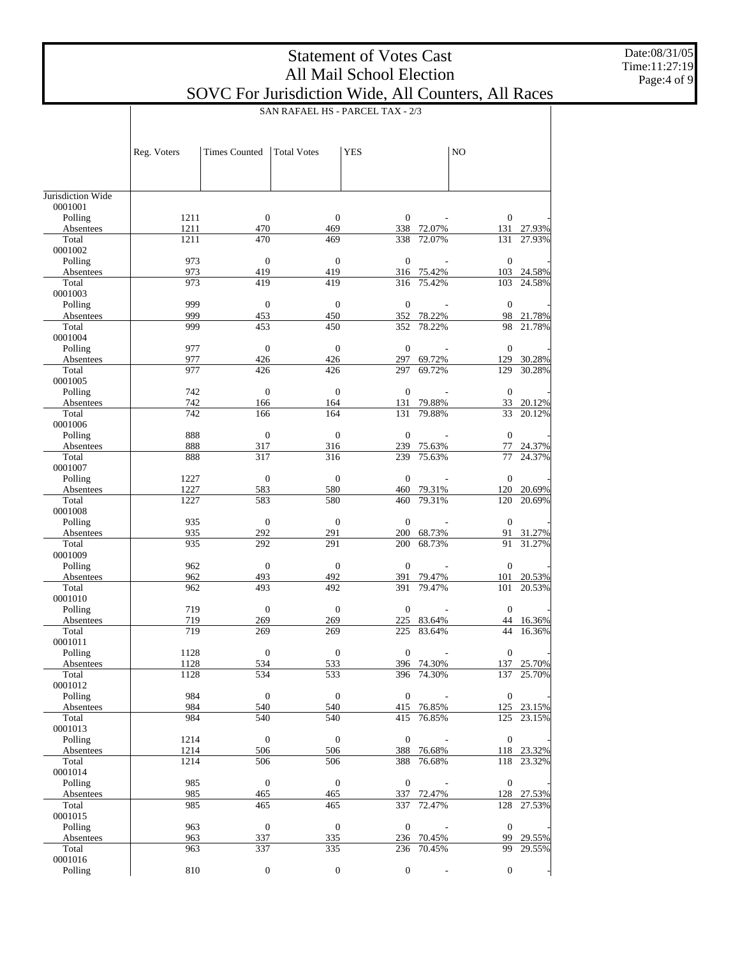Date:08/31/05 Time:11:27:19 Page:4 of 9

|                      |              | SAN RAFAEL HS - PARCEL TAX - 2/3 |                         |                         |                  |                     |                  |  |
|----------------------|--------------|----------------------------------|-------------------------|-------------------------|------------------|---------------------|------------------|--|
|                      |              |                                  |                         |                         |                  |                     |                  |  |
|                      |              |                                  |                         |                         |                  |                     |                  |  |
|                      | Reg. Voters  | <b>Times Counted</b>             | <b>Total Votes</b>      | <b>YES</b>              |                  | NO                  |                  |  |
|                      |              |                                  |                         |                         |                  |                     |                  |  |
|                      |              |                                  |                         |                         |                  |                     |                  |  |
| Jurisdiction Wide    |              |                                  |                         |                         |                  |                     |                  |  |
| 0001001              |              |                                  |                         |                         |                  |                     |                  |  |
| Polling<br>Absentees | 1211<br>1211 | $\boldsymbol{0}$<br>470          | $\mathbf{0}$<br>469     | $\boldsymbol{0}$<br>338 | 72.07%           | $\mathbf{0}$<br>131 | 27.93%           |  |
| Total                | 1211         | 470                              | 469                     | 338                     | 72.07%           | 131                 | 27.93%           |  |
| 0001002              |              |                                  |                         |                         |                  |                     |                  |  |
| Polling              | 973          | $\mathbf{0}$                     | $\boldsymbol{0}$        | $\mathbf{0}$            |                  | $\mathbf{0}$        |                  |  |
| Absentees            | 973          | 419                              | 419                     | 316                     | 75.42%           | 103                 | 24.58%           |  |
| Total                | 973          | 419                              | 419                     | 316                     | 75.42%           | 103                 | 24.58%           |  |
| 0001003<br>Polling   | 999          | $\mathbf{0}$                     | $\mathbf{0}$            | $\mathbf{0}$            |                  | $\mathbf{0}$        |                  |  |
| Absentees            | 999          | 453                              | 450                     | 352                     | 78.22%           | 98                  | 21.78%           |  |
| Total                | 999          | 453                              | 450                     | 352                     | 78.22%           | 98                  | 21.78%           |  |
| 0001004              |              |                                  |                         |                         |                  |                     |                  |  |
| Polling              | 977          | $\mathbf{0}$                     | $\mathbf{0}$            | $\mathbf{0}$            |                  | $\mathbf{0}$        |                  |  |
| Absentees<br>Total   | 977<br>977   | 426<br>426                       | 426<br>426              | 297<br>297              | 69.72%<br>69.72% | 129<br>129          | 30.28%<br>30.28% |  |
| 0001005              |              |                                  |                         |                         |                  |                     |                  |  |
| Polling              | 742          | $\mathbf{0}$                     | $\mathbf{0}$            | $\mathbf{0}$            |                  | $\mathbf{0}$        |                  |  |
| Absentees            | 742          | 166                              | 164                     | 131                     | 79.88%           | 33                  | 20.12%           |  |
| Total                | 742          | 166                              | 164                     | 131                     | 79.88%           | 33                  | 20.12%           |  |
| 0001006              |              | $\mathbf{0}$                     |                         |                         |                  |                     |                  |  |
| Polling<br>Absentees | 888<br>888   | 317                              | $\mathbf{0}$<br>316     | $\mathbf{0}$<br>239     | 75.63%           | $\mathbf{0}$<br>77  | 24.37%           |  |
| Total                | 888          | 317                              | 316                     | 239                     | 75.63%           | 77                  | 24.37%           |  |
| 0001007              |              |                                  |                         |                         |                  |                     |                  |  |
| Polling              | 1227         | $\mathbf{0}$                     | $\mathbf{0}$            | $\mathbf{0}$            |                  | $\mathbf{0}$        |                  |  |
| Absentees            | 1227         | 583                              | 580                     | 460                     | 79.31%           | 120                 | 20.69%           |  |
| Total<br>0001008     | 1227         | 583                              | 580                     | 460                     | 79.31%           | 120                 | 20.69%           |  |
| Polling              | 935          | $\mathbf{0}$                     | $\boldsymbol{0}$        | $\mathbf{0}$            |                  | $\mathbf{0}$        |                  |  |
| Absentees            | 935          | 292                              | 291                     | 200                     | 68.73%           | 91                  | 31.27%           |  |
| Total                | 935          | 292                              | 291                     | 200                     | 68.73%           | 91                  | 31.27%           |  |
| 0001009              |              |                                  |                         |                         |                  |                     |                  |  |
| Polling              | 962          | $\mathbf{0}$                     | $\mathbf{0}$            | $\mathbf{0}$            |                  | $\mathbf{0}$        |                  |  |
| Absentees<br>Total   | 962<br>962   | 493<br>493                       | 492<br>492              | 391<br>391              | 79.47%<br>79.47% | 101<br>101          | 20.53%<br>20.53% |  |
| 0001010              |              |                                  |                         |                         |                  |                     |                  |  |
| Polling              | 719          | $\boldsymbol{0}$                 | $\boldsymbol{0}$        | $\mathbf{0}$            |                  | $\mathbf{0}$        |                  |  |
| Absentees            | 719          | 269                              | 269                     | 225                     | 83.64%           | 44                  | 16.36%           |  |
| Total                | 719          | 269                              | 269                     | 225                     | 83.64%           | 44                  | 16.36%           |  |
| 0001011              |              |                                  |                         |                         |                  |                     |                  |  |
| Polling<br>Absentees | 1128<br>1128 | $\boldsymbol{0}$<br>534          | $\boldsymbol{0}$<br>533 | $\boldsymbol{0}$        | 396 74.30%       | $\mathbf{0}$        | 137 25.70%       |  |
| Total                | 1128         | 534                              | 533                     | 396                     | 74.30%           | 137                 | 25.70%           |  |
| 0001012              |              |                                  |                         |                         |                  |                     |                  |  |
| Polling              | 984          | $\mathbf{0}$                     | $\mathbf{0}$            | $\mathbf{0}$            |                  | $\mathbf{0}$        |                  |  |
| Absentees            | 984          | 540                              | 540                     |                         | 415 76.85%       |                     | 125 23.15%       |  |
| Total                | 984          | 540                              | 540                     | 415                     | 76.85%           | 125                 | 23.15%           |  |
| 0001013<br>Polling   | 1214         | $\mathbf{0}$                     | $\mathbf{0}$            | $\boldsymbol{0}$        |                  | $\mathbf{0}$        |                  |  |
| Absentees            | 1214         | 506                              | 506                     | 388                     | 76.68%           |                     | 118 23.32%       |  |
| Total                | 1214         | 506                              | 506                     | 388                     | 76.68%           | 118                 | 23.32%           |  |
| 0001014              |              |                                  |                         |                         |                  |                     |                  |  |
| Polling              | 985          | $\boldsymbol{0}$                 | $\mathbf{0}$            | $\boldsymbol{0}$        |                  | $\boldsymbol{0}$    |                  |  |
| Absentees            | 985          | 465                              | 465                     | 337                     | 72.47%           |                     | 128 27.53%       |  |
| Total                | 985          | 465                              | 465                     | 337                     | 72.47%           | 128                 | 27.53%           |  |
| 0001015<br>Polling   | 963          | $\boldsymbol{0}$                 | $\boldsymbol{0}$        | $\mathbf{0}$            |                  | $\mathbf{0}$        |                  |  |
| Absentees            | 963          | 337                              | 335                     |                         | 236 70.45%       |                     | 99 29.55%        |  |
| Total                | 963          | 337                              | 335                     | 236                     | 70.45%           | 99                  | 29.55%           |  |
| 0001016              |              |                                  |                         |                         |                  |                     |                  |  |
| Polling              | 810          | $\boldsymbol{0}$                 | $\boldsymbol{0}$        | $\mathbf{0}$            |                  | $\mathbf{0}$        |                  |  |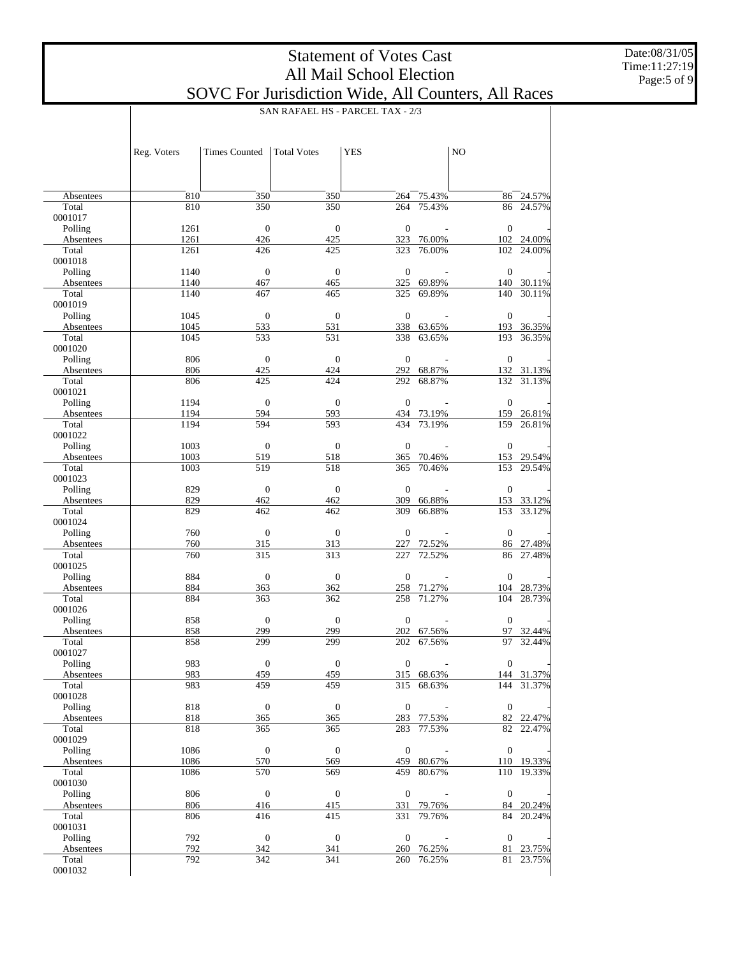Date:08/31/05 Time:11:27:19 Page:5 of 9

|                      |              |                      |                         | SAN RAFAEL HS - PARCEL TAX - 2/3 |                  |                  |                      |
|----------------------|--------------|----------------------|-------------------------|----------------------------------|------------------|------------------|----------------------|
|                      |              |                      |                         |                                  |                  |                  |                      |
|                      |              |                      |                         |                                  |                  |                  |                      |
|                      | Reg. Voters  | <b>Times Counted</b> | <b>Total Votes</b>      | <b>YES</b>                       |                  | NO               |                      |
|                      |              |                      |                         |                                  |                  |                  |                      |
|                      |              |                      |                         |                                  |                  |                  |                      |
| Absentees            | 810          | 350                  | 350                     | 264                              | 75.43%           | 86               | 24.57%               |
| Total                | 810          | 350                  | 350                     | 264                              | 75.43%           | 86               | 24.57%               |
| 0001017              |              |                      |                         |                                  |                  |                  |                      |
| Polling              | 1261         | $\mathbf{0}$         | $\boldsymbol{0}$        | $\overline{0}$                   |                  | $\theta$         |                      |
| Absentees<br>Total   | 1261<br>1261 | 426<br>426           | 425<br>425              | 323<br>323                       | 76.00%<br>76.00% | 102              | 102 24.00%<br>24.00% |
| 0001018              |              |                      |                         |                                  |                  |                  |                      |
| Polling              | 1140         | $\mathbf{0}$         | $\boldsymbol{0}$        | $\overline{0}$                   |                  | $\theta$         |                      |
| Absentees            | 1140         | 467                  | 465                     |                                  | 325 69.89%       | 140              | 30.11%               |
| Total                | 1140         | 467                  | 465                     | 325                              | 69.89%           | 140              | 30.11%               |
| 0001019              |              |                      |                         | $\mathbf{0}$                     |                  |                  |                      |
| Polling<br>Absentees | 1045<br>1045 | $\mathbf{0}$<br>533  | $\mathbf{0}$<br>531     |                                  | 338 63.65%       | $\theta$<br>193  | 36.35%               |
| Total                | 1045         | 533                  | 531                     | 338                              | 63.65%           | 193              | 36.35%               |
| 0001020              |              |                      |                         |                                  |                  |                  |                      |
| Polling              | 806          | $\mathbf{0}$         | $\mathbf{0}$            | $\overline{0}$                   |                  | $\theta$         |                      |
| Absentees            | 806          | 425                  | 424                     | 292                              | 68.87%           |                  | 132 31.13%           |
| Total<br>0001021     | 806          | 425                  | 424                     | 292                              | 68.87%           | 132              | 31.13%               |
| Polling              | 1194         | $\mathbf{0}$         | $\mathbf{0}$            | $\mathbf{0}$                     |                  | $\theta$         |                      |
| Absentees            | 1194         | 594                  | 593                     |                                  | 434 73.19%       | 159              | 26.81%               |
| Total                | 1194         | 594                  | 593                     | 434                              | 73.19%           | 159              | 26.81%               |
| 0001022              |              |                      |                         |                                  |                  |                  |                      |
| Polling              | 1003         | $\mathbf{0}$         | $\mathbf{0}$            | $\mathbf{0}$                     |                  | $\mathbf{0}$     |                      |
| Absentees<br>Total   | 1003<br>1003 | 519<br>519           | 518<br>518              | 365<br>365                       | 70.46%<br>70.46% | 153<br>153       | 29.54%<br>29.54%     |
| 0001023              |              |                      |                         |                                  |                  |                  |                      |
| Polling              | 829          | $\mathbf{0}$         | $\boldsymbol{0}$        | $\mathbf{0}$                     |                  | $\theta$         |                      |
| Absentees            | 829          | 462                  | 462                     | 309                              | 66.88%           | 153              | 33.12%               |
| Total                | 829          | 462                  | 462                     | 309                              | 66.88%           | 153              | 33.12%               |
| 0001024<br>Polling   | 760          | $\mathbf{0}$         | $\boldsymbol{0}$        | $\overline{0}$                   |                  | $\theta$         |                      |
| Absentees            | 760          | 315                  | 313                     | 227                              | 72.52%           | 86               | 27.48%               |
| Total                | 760          | 315                  | 313                     | 227                              | 72.52%           | 86               | 27.48%               |
| 0001025              |              |                      |                         |                                  |                  |                  |                      |
| Polling              | 884          | $\mathbf{0}$         | $\boldsymbol{0}$        | $\mathbf{0}$                     |                  | $\theta$         |                      |
| Absentees            | 884          | 363                  | 362                     | 258                              | 71.27%           | 104              | 28.73%               |
| Total<br>0001026     | 884          | 363                  | 362                     | 258                              | 71.27%           | 104              | 28.73%               |
| Polling              | 858          | $\mathbf{0}$         | $\boldsymbol{0}$        | $\overline{0}$                   |                  | $\theta$         |                      |
| Absentees            | 858          | 299                  | 299                     | 202                              | 67.56%           | 97               | 32.44%               |
| Total                | 858          | 299                  | 299                     | 202                              | 67.56%           | 97               | 32.44%               |
| 0001027              |              |                      |                         |                                  |                  |                  |                      |
| Polling<br>Absentees | 983<br>983   | $\mathbf{0}$<br>459  | $\boldsymbol{0}$<br>459 | $\boldsymbol{0}$                 | 315 68.63%       | $\boldsymbol{0}$ | 144 31.37%           |
| Total                | 983          | 459                  | 459                     | 315                              | 68.63%           | 144              | 31.37%               |
| 0001028              |              |                      |                         |                                  |                  |                  |                      |
| Polling              | 818          | $\mathbf{0}$         | $\boldsymbol{0}$        | $\boldsymbol{0}$                 |                  | $\mathbf{0}$     |                      |
| Absentees            | 818          | 365                  | 365                     | 283                              | 77.53%           | 82               | 22.47%               |
| Total                | 818          | 365                  | 365                     | 283                              | 77.53%           | 82               | 22.47%               |
| 0001029<br>Polling   | 1086         | $\mathbf{0}$         | $\boldsymbol{0}$        | $\boldsymbol{0}$                 |                  | $\mathbf{0}$     |                      |
| Absentees            | 1086         | 570                  | 569                     | 459                              | 80.67%           |                  | 110 19.33%           |
| Total                | 1086         | 570                  | 569                     | 459                              | 80.67%           | 110              | 19.33%               |
| 0001030              |              |                      |                         |                                  |                  |                  |                      |
| Polling              | 806          | $\mathbf{0}$         | $\boldsymbol{0}$        | $\boldsymbol{0}$                 |                  | $\mathbf{0}$     |                      |
| Absentees            | 806          | 416                  | 415                     | 331                              | 79.76%           | 84               | 20.24%               |
| Total<br>0001031     | 806          | 416                  | 415                     | 331                              | 79.76%           | 84               | 20.24%               |
| Polling              | 792          | $\mathbf{0}$         | $\boldsymbol{0}$        | $\boldsymbol{0}$                 |                  | $\mathbf{0}$     |                      |
| Absentees            | 792          | 342                  | 341                     | 260                              | 76.25%           | 81               | 23.75%               |
| Total                | 792          | 342                  | 341                     | 260                              | 76.25%           | 81               | 23.75%               |
| 0001032              |              |                      |                         |                                  |                  |                  |                      |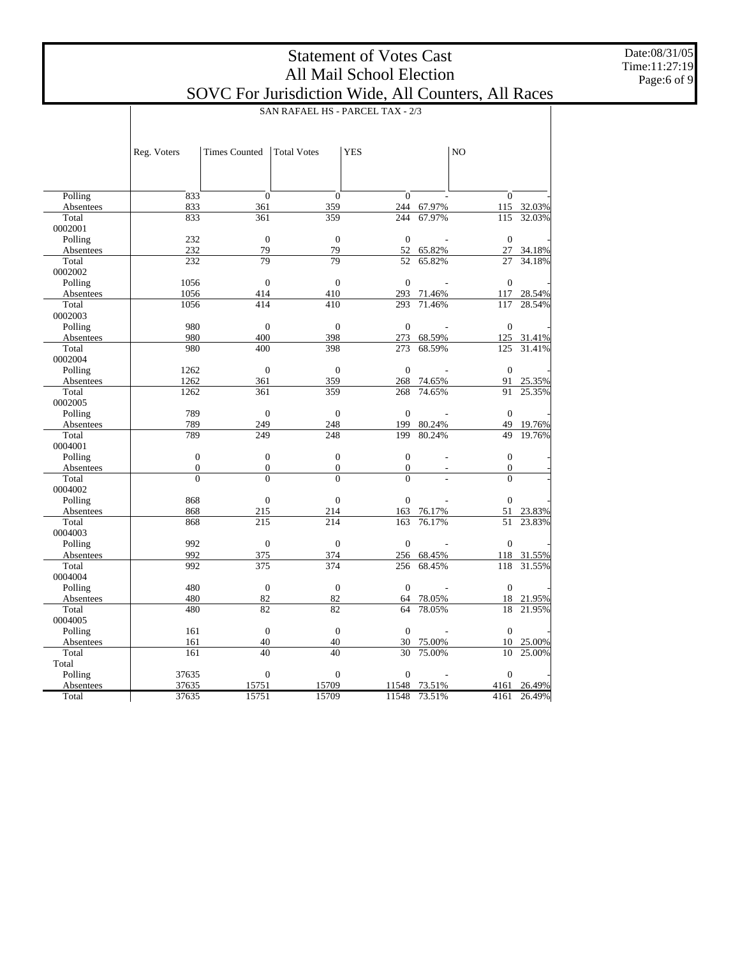Date:08/31/05 Time:11:27:19 Page:6 of 9

|                    | SAN RAFAEL HS - PARCEL TAX - 2/3   |                                    |                              |                              |                  |                              |            |  |
|--------------------|------------------------------------|------------------------------------|------------------------------|------------------------------|------------------|------------------------------|------------|--|
|                    |                                    |                                    |                              |                              |                  |                              |            |  |
|                    |                                    |                                    |                              |                              |                  |                              |            |  |
|                    | Reg. Voters                        | <b>Times Counted</b>               | <b>Total Votes</b>           | <b>YES</b>                   |                  | N <sub>O</sub>               |            |  |
|                    |                                    |                                    |                              |                              |                  |                              |            |  |
|                    |                                    |                                    |                              |                              |                  |                              |            |  |
|                    |                                    |                                    |                              |                              |                  |                              |            |  |
| Polling            | 833<br>833                         | $\boldsymbol{0}$<br>361            | $\overline{0}$<br>359        | $\mathbf{0}$<br>244          |                  | $\overline{0}$               | 115 32.03% |  |
| Absentees<br>Total | 833                                | 361                                | 359                          | 244                          | 67.97%<br>67.97% | 115                          | 32.03%     |  |
| 0002001            |                                    |                                    |                              |                              |                  |                              |            |  |
| Polling            | 232                                | $\overline{0}$                     | $\overline{0}$               | $\boldsymbol{0}$             |                  | $\overline{0}$               |            |  |
| Absentees          | 232                                | 79                                 | 79                           | 52                           | 65.82%           | 27                           | 34.18%     |  |
| Total              | 232                                | 79                                 | 79                           | 52                           | 65.82%           | 27                           | 34.18%     |  |
| 0002002            |                                    |                                    |                              |                              |                  |                              |            |  |
| Polling            | 1056                               | $\Omega$                           | $\Omega$                     | $\boldsymbol{0}$             |                  | $\Omega$                     |            |  |
| Absentees          | 1056                               | 414                                | 410                          | 293                          | 71.46%           | 117                          | 28.54%     |  |
| Total              | 1056                               | 414                                | 410                          | 293                          | 71.46%           | 117                          | 28.54%     |  |
| 0002003            |                                    |                                    |                              |                              |                  |                              |            |  |
| Polling            | 980                                | $\overline{0}$                     | $\overline{0}$               | $\boldsymbol{0}$             |                  | $\boldsymbol{0}$             |            |  |
| Absentees          | 980                                | 400                                | 398                          | 273                          | 68.59%           | 125                          | 31.41%     |  |
| Total              | 980                                | 400                                | 398                          | 273                          | 68.59%           | 125                          | 31.41%     |  |
| 0002004            |                                    |                                    |                              |                              |                  |                              |            |  |
| Polling            | 1262                               | $\overline{0}$                     | $\overline{0}$               | $\mathbf{0}$                 |                  | $\overline{0}$               |            |  |
| Absentees          | 1262                               | 361                                | 359                          | 268                          | 74.65%           | 91                           | 25.35%     |  |
| Total              | 1262                               | 361                                | 359                          | 268                          | 74.65%           | 91                           | 25.35%     |  |
| 0002005            |                                    |                                    |                              |                              |                  |                              |            |  |
| Polling            | 789                                | $\overline{0}$                     | $\overline{0}$               | $\overline{0}$               |                  | $\mathbf{0}$                 |            |  |
| Absentees          | 789                                | 249                                | 248                          | 199                          | 80.24%           | 49                           | 19.76%     |  |
| Total              | 789                                | 249                                | 248                          | 199                          | 80.24%           | 49                           | 19.76%     |  |
| 0004001            |                                    |                                    |                              |                              |                  |                              |            |  |
| Polling            | $\boldsymbol{0}$                   | $\boldsymbol{0}$                   | $\overline{0}$               | $\mathbf{0}$                 |                  | $\overline{0}$               |            |  |
| Absentees<br>Total | $\boldsymbol{0}$<br>$\overline{0}$ | $\boldsymbol{0}$<br>$\overline{0}$ | $\boldsymbol{0}$<br>$\theta$ | $\boldsymbol{0}$<br>$\theta$ |                  | $\boldsymbol{0}$<br>$\theta$ |            |  |
| 0004002            |                                    |                                    |                              |                              |                  |                              |            |  |
| Polling            | 868                                | $\boldsymbol{0}$                   | $\overline{0}$               | $\boldsymbol{0}$             |                  | $\overline{0}$               |            |  |
| Absentees          | 868                                | 215                                | 214                          | 163                          | 76.17%           | 51                           | 23.83%     |  |
| Total              | 868                                | 215                                | 214                          | 163                          | 76.17%           | 51                           | 23.83%     |  |
| 0004003            |                                    |                                    |                              |                              |                  |                              |            |  |
| Polling            | 992                                | $\overline{0}$                     | $\overline{0}$               | $\overline{0}$               |                  | $\overline{0}$               |            |  |
| Absentees          | 992                                | 375                                | 374                          | 256                          | 68.45%           | 118                          | 31.55%     |  |
| Total              | 992                                | 375                                | 374                          | 256                          | 68.45%           | 118                          | 31.55%     |  |
| 0004004            |                                    |                                    |                              |                              |                  |                              |            |  |
| Polling            | 480                                | $\boldsymbol{0}$                   | $\boldsymbol{0}$             | $\boldsymbol{0}$             |                  | $\boldsymbol{0}$             |            |  |
| Absentees          | 480                                | 82                                 | 82                           | 64                           | 78.05%           | 18                           | 21.95%     |  |
| Total              | 480                                | 82                                 | 82                           | 64                           | 78.05%           | 18                           | 21.95%     |  |
| 0004005            |                                    |                                    |                              |                              |                  |                              |            |  |
| Polling            | 161                                | $\overline{0}$                     | $\overline{0}$               | $\overline{0}$               |                  | $\overline{0}$               |            |  |
| Absentees          | 161                                | 40                                 | 40                           | 30                           | 75.00%           | 10                           | 25.00%     |  |
| Total              | 161                                | 40                                 | 40                           | 30                           | 75.00%           | 10                           | 25.00%     |  |
| Total              |                                    |                                    |                              |                              |                  |                              |            |  |
| Polling            | 37635                              | $\boldsymbol{0}$                   | $\boldsymbol{0}$             | $\boldsymbol{0}$             |                  | $\Omega$                     |            |  |
| Absentees          | 37635                              | 15751                              | 15709                        | 11548                        | 73.51%           | 4161                         | 26.49%     |  |
| Total              | 37635                              | 15751                              | 15709                        | 11548                        | 73.51%           | 4161                         | 26.49%     |  |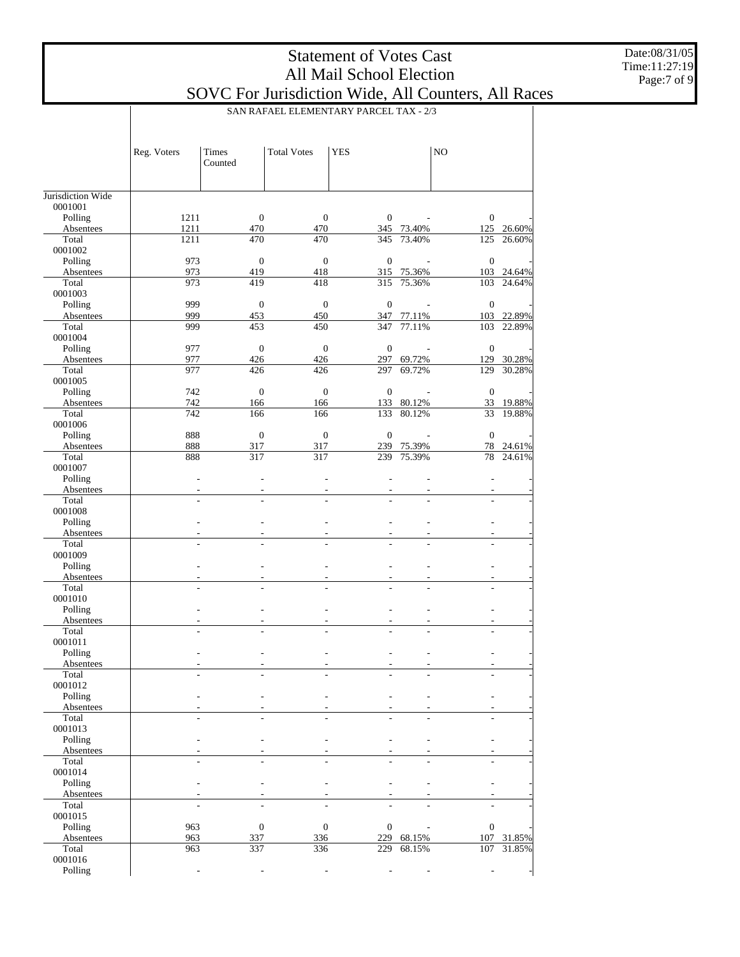Date:08/31/05 Time:11:27:19 Page:7 of 9

|                    |             | SAN RAFAEL ELEMENTARY PARCEL TAX - 2/3 |                    |                  |                      |                  |                      |  |
|--------------------|-------------|----------------------------------------|--------------------|------------------|----------------------|------------------|----------------------|--|
|                    | Reg. Voters | Times<br>Counted                       | <b>Total Votes</b> | <b>YES</b>       |                      | N <sub>O</sub>   |                      |  |
| Jurisdiction Wide  |             |                                        |                    |                  |                      |                  |                      |  |
| 0001001            |             |                                        |                    |                  |                      |                  |                      |  |
| Polling            | 1211        | $\boldsymbol{0}$                       | $\boldsymbol{0}$   | $\boldsymbol{0}$ |                      | $\boldsymbol{0}$ |                      |  |
| Absentees          | 1211        | 470                                    | 470                |                  | 345 73.40%           |                  | 125 26.60%           |  |
| Total              | 1211        | 470                                    | 470                | 345              | 73.40%               | 125              | 26.60%               |  |
| 0001002            |             |                                        |                    |                  |                      |                  |                      |  |
| Polling            | 973         | $\boldsymbol{0}$                       | $\mathbf{0}$       | $\mathbf{0}$     |                      | $\boldsymbol{0}$ |                      |  |
| Absentees<br>Total | 973<br>973  | 419<br>419                             | 418<br>418         | 315              | 315 75.36%<br>75.36% | 103              | 103 24.64%<br>24.64% |  |
| 0001003            |             |                                        |                    |                  |                      |                  |                      |  |
| Polling            | 999         | $\boldsymbol{0}$                       | $\mathbf{0}$       | $\mathbf{0}$     |                      | $\mathbf{0}$     |                      |  |
| Absentees          | 999         | 453                                    | 450                |                  | 347 77.11%           |                  | 103 22.89%           |  |
| Total              | 999         | 453                                    | 450                | 347              | 77.11%               | 103              | 22.89%               |  |
| 0001004            |             |                                        |                    |                  |                      |                  |                      |  |
| Polling            | 977         | $\mathbf{0}$                           | $\mathbf{0}$       | $\boldsymbol{0}$ |                      | $\boldsymbol{0}$ |                      |  |
| Absentees          | 977         | 426                                    | 426                |                  | 297 69.72%           |                  | 129 30.28%           |  |
| Total              | 977         | 426                                    | 426                | 297              | 69.72%               | 129              | 30.28%               |  |
| 0001005            |             |                                        |                    |                  |                      |                  |                      |  |
| Polling            | 742         | $\boldsymbol{0}$                       | $\boldsymbol{0}$   | $\mathbf{0}$     |                      | $\boldsymbol{0}$ |                      |  |
| Absentees          | 742         | 166                                    | 166                |                  | 133 80.12%           |                  | 33 19.88%            |  |
| Total              | 742         | 166                                    | 166                | 133              | 80.12%               | 33               | 19.88%               |  |
| 0001006            |             |                                        |                    |                  |                      |                  |                      |  |
| Polling            | 888         | $\boldsymbol{0}$                       | $\mathbf{0}$       | $\boldsymbol{0}$ |                      | $\boldsymbol{0}$ |                      |  |
| Absentees          | 888         | 317                                    | 317                |                  | 239 75.39%           |                  | 78 24.61%            |  |
| Total              | 888         | 317                                    | 317                | 239              | 75.39%               | 78               | 24.61%               |  |
| 0001007            |             |                                        |                    |                  |                      |                  |                      |  |
| Polling            |             | ÷,                                     |                    | ä,               |                      |                  |                      |  |
| Absentees          |             |                                        |                    |                  |                      |                  |                      |  |
| Total<br>0001008   |             | ÷.                                     |                    |                  |                      |                  |                      |  |
| Polling            |             |                                        |                    |                  |                      |                  |                      |  |
| Absentees          |             |                                        |                    |                  |                      |                  |                      |  |
| Total              |             | ÷.                                     |                    |                  |                      |                  |                      |  |
| 0001009            |             |                                        |                    |                  |                      |                  |                      |  |
| Polling            |             |                                        |                    | ÷                |                      |                  |                      |  |
| Absentees          |             |                                        |                    |                  |                      |                  |                      |  |
| Total              |             |                                        |                    |                  |                      |                  |                      |  |
| 0001010            |             |                                        |                    |                  |                      |                  |                      |  |
| Polling            |             |                                        |                    |                  |                      |                  |                      |  |
| Absentees          |             |                                        |                    |                  |                      |                  |                      |  |
| Total              |             |                                        |                    |                  |                      |                  |                      |  |
| 0001011            |             |                                        |                    |                  |                      |                  |                      |  |
| Polling            |             |                                        |                    |                  |                      |                  |                      |  |
| Absentees<br>Total |             |                                        |                    |                  |                      |                  |                      |  |
|                    |             |                                        |                    |                  |                      |                  |                      |  |
| 0001012<br>Polling |             |                                        |                    |                  |                      |                  |                      |  |
| Absentees          |             |                                        |                    |                  |                      |                  |                      |  |
| Total              |             |                                        |                    |                  |                      |                  |                      |  |
| 0001013            |             |                                        |                    |                  |                      |                  |                      |  |
| Polling            |             |                                        |                    |                  |                      |                  |                      |  |
| Absentees          |             |                                        |                    |                  |                      |                  |                      |  |
| Total              |             |                                        |                    |                  |                      |                  |                      |  |
| 0001014            |             |                                        |                    |                  |                      |                  |                      |  |
| Polling            |             |                                        |                    |                  |                      |                  |                      |  |
| Absentees          |             |                                        |                    |                  |                      |                  |                      |  |
| Total              |             |                                        |                    |                  |                      |                  |                      |  |
| 0001015            |             |                                        |                    |                  |                      |                  |                      |  |
| Polling            | 963         | $\boldsymbol{0}$                       | $\boldsymbol{0}$   | $\boldsymbol{0}$ |                      | $\boldsymbol{0}$ |                      |  |
| Absentees          | 963         | 337                                    | 336                | 229              | 68.15%               | 107              | 31.85%               |  |
| Total              | 963         | 337                                    | 336                | 229              | 68.15%               | 107              | 31.85%               |  |
| 0001016            |             |                                        |                    |                  |                      |                  |                      |  |
| Polling            |             |                                        |                    |                  |                      |                  |                      |  |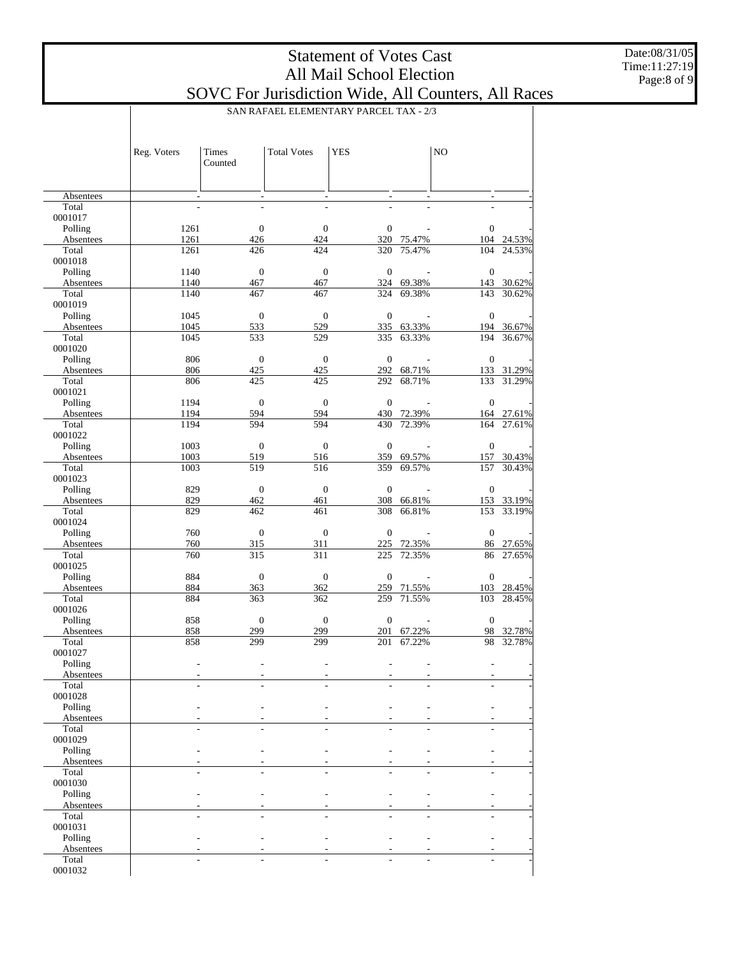Date:08/31/05 Time:11:27:19 Page:8 of 9

|                      |              | SAN RAFAEL ELEMENTARY PARCEL TAX - 2/3 |                                             |                          |                      |                  |                      |  |
|----------------------|--------------|----------------------------------------|---------------------------------------------|--------------------------|----------------------|------------------|----------------------|--|
|                      | Reg. Voters  | Times<br>Counted                       | <b>Total Votes</b>                          | <b>YES</b>               |                      | N <sub>O</sub>   |                      |  |
| Absentees            |              |                                        | $\overline{\phantom{a}}$                    | $\overline{\phantom{a}}$ |                      |                  |                      |  |
| Total                |              |                                        |                                             |                          |                      |                  |                      |  |
| 0001017              |              |                                        |                                             |                          |                      |                  |                      |  |
| Polling              | 1261         |                                        | $\boldsymbol{0}$<br>$\boldsymbol{0}$        | $\boldsymbol{0}$         |                      | $\mathbf{0}$     |                      |  |
| Absentees            | 1261         | 426                                    | 424                                         |                          | 320 75.47%           |                  | 104 24.53%           |  |
| Total<br>0001018     | 1261         | 426                                    | 424                                         | 320                      | 75.47%               | 104              | 24.53%               |  |
| Polling              | 1140         |                                        | $\boldsymbol{0}$<br>$\boldsymbol{0}$        | $\mathbf{0}$             |                      | $\boldsymbol{0}$ |                      |  |
| Absentees            | 1140         | 467                                    | 467                                         |                          | 324 69.38%           |                  | 143 30.62%           |  |
| Total                | 1140         | 467                                    | 467                                         | 324                      | 69.38%               | 143              | 30.62%               |  |
| 0001019              |              |                                        |                                             |                          |                      |                  |                      |  |
| Polling              | 1045         |                                        | $\boldsymbol{0}$<br>$\boldsymbol{0}$        | $\mathbf{0}$             |                      | $\boldsymbol{0}$ |                      |  |
| Absentees<br>Total   | 1045<br>1045 | 533<br>533                             | 529<br>529                                  | 335                      | 335 63.33%<br>63.33% | 194              | 194 36.67%<br>36.67% |  |
| 0001020              |              |                                        |                                             |                          |                      |                  |                      |  |
| Polling              | 806          |                                        | $\boldsymbol{0}$<br>$\boldsymbol{0}$        | $\boldsymbol{0}$         |                      | $\boldsymbol{0}$ |                      |  |
| Absentees            | 806          | 425                                    | 425                                         | 292                      | 68.71%               |                  | 133 31.29%           |  |
| Total                | 806          | 425                                    | 425                                         | 292                      | 68.71%               | 133              | 31.29%               |  |
| 0001021              |              |                                        |                                             |                          |                      |                  |                      |  |
| Polling<br>Absentees | 1194<br>1194 | 594                                    | $\boldsymbol{0}$<br>$\boldsymbol{0}$<br>594 | $\mathbf{0}$             | 430 72.39%           | $\boldsymbol{0}$ |                      |  |
| Total                | 1194         | 594                                    | 594                                         | 430                      | 72.39%               | 164              | 164 27.61%<br>27.61% |  |
| 0001022              |              |                                        |                                             |                          |                      |                  |                      |  |
| Polling              | 1003         |                                        | $\boldsymbol{0}$<br>$\boldsymbol{0}$        | $\mathbf{0}$             |                      | $\boldsymbol{0}$ |                      |  |
| Absentees            | 1003         | 519                                    | 516                                         | 359                      | 69.57%               |                  | 157 30.43%           |  |
| Total                | 1003         | 519                                    | 516                                         | 359                      | 69.57%               | 157              | 30.43%               |  |
| 0001023              |              |                                        |                                             | $\boldsymbol{0}$         |                      |                  |                      |  |
| Polling<br>Absentees | 829<br>829   | 462                                    | $\boldsymbol{0}$<br>$\boldsymbol{0}$<br>461 | 308                      | 66.81%               | $\boldsymbol{0}$ | 153 33.19%           |  |
| Total                | 829          | 462                                    | 461                                         | 308                      | 66.81%               | 153              | 33.19%               |  |
| 0001024              |              |                                        |                                             |                          |                      |                  |                      |  |
| Polling              | 760          |                                        | $\boldsymbol{0}$<br>$\boldsymbol{0}$        | $\boldsymbol{0}$         |                      | $\boldsymbol{0}$ |                      |  |
| Absentees            | 760          | 315                                    | 311                                         | 225                      | 72.35%               |                  | 86 27.65%            |  |
| Total                | 760          | 315                                    | 311                                         | 225                      | 72.35%               | 86               | 27.65%               |  |
| 0001025<br>Polling   | 884          |                                        | $\boldsymbol{0}$<br>$\boldsymbol{0}$        | $\mathbf{0}$             |                      | $\boldsymbol{0}$ |                      |  |
| Absentees            | 884          | 363                                    | 362                                         | 259                      | 71.55%               |                  | 103 28.45%           |  |
| Total                | 884          | 363                                    | 362                                         | 259                      | 71.55%               | 103              | 28.45%               |  |
| 0001026              |              |                                        |                                             |                          |                      |                  |                      |  |
| Polling              | 858          |                                        | $\boldsymbol{0}$<br>$\boldsymbol{0}$        | $\mathbf{0}$             |                      | $\boldsymbol{0}$ |                      |  |
| Absentees            | 858          | 299<br>299                             | 299                                         | 201                      | 67.22%               | 98               | 32.78%               |  |
| Total<br>0001027     | 858          |                                        | 299                                         | 201                      | 67.22%               | 98               | 32.78%               |  |
| Polling              |              |                                        |                                             |                          |                      |                  |                      |  |
| Absentees            |              |                                        |                                             |                          |                      |                  |                      |  |
| Total                |              |                                        |                                             |                          |                      |                  |                      |  |
| 0001028              |              |                                        |                                             |                          |                      |                  |                      |  |
| Polling              |              |                                        |                                             |                          |                      |                  |                      |  |
| Absentees<br>Total   |              |                                        |                                             |                          |                      |                  |                      |  |
| 0001029              |              |                                        |                                             |                          |                      |                  |                      |  |
| Polling              |              |                                        |                                             |                          |                      |                  |                      |  |
| Absentees            |              |                                        |                                             |                          |                      |                  |                      |  |
| Total                |              |                                        |                                             |                          |                      |                  |                      |  |
| 0001030              |              |                                        |                                             |                          |                      |                  |                      |  |
| Polling<br>Absentees |              |                                        |                                             |                          |                      |                  |                      |  |
| Total                |              |                                        |                                             |                          |                      |                  |                      |  |
| 0001031              |              |                                        |                                             |                          |                      |                  |                      |  |
| Polling              |              |                                        |                                             |                          |                      |                  |                      |  |
| Absentees            |              |                                        |                                             |                          |                      |                  |                      |  |
| Total                |              |                                        |                                             |                          |                      |                  |                      |  |
| 0001032              |              |                                        |                                             |                          |                      |                  |                      |  |